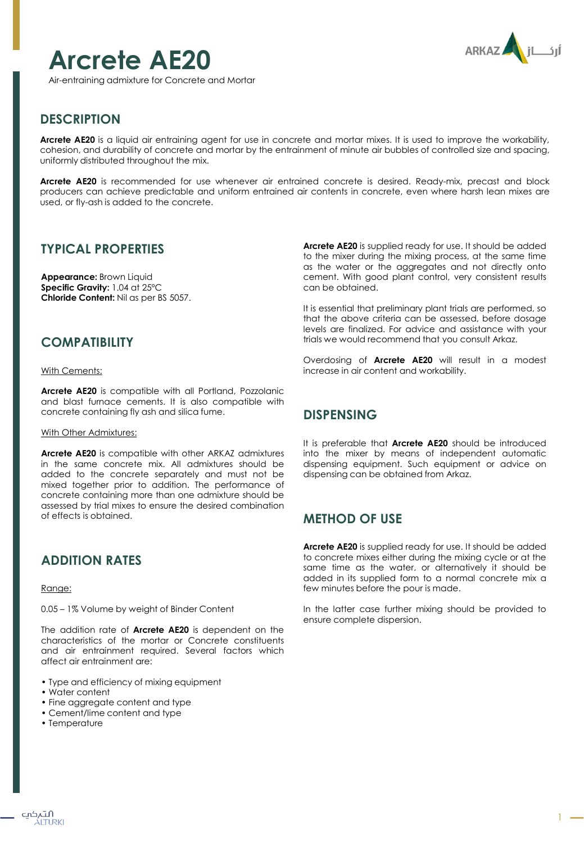

**Arcrete AE20**

Air-entraining admixture for Concrete and Mortar

# **DESCRIPTION**

**Arcrete AE20** is a liquid air entraining agent for use in concrete and mortar mixes. It is used to improve the workability, cohesion, and durability of concrete and mortar by the entrainment of minute air bubbles of controlled size and spacing, uniformly distributed throughout the mix.

**Arcrete AE20** is recommended for use whenever air entrained concrete is desired. Ready-mix, precast and block producers can achieve predictable and uniform entrained air contents in concrete, even where harsh lean mixes are used, or fly-ash is added to the concrete.

### **TYPICAL PROPERTIES**

**Appearance:** Brown Liquid **Specific Gravity:** 1.04 at 25ºC **Chloride Content:** Nil as per BS 5057.

#### **COMPATIBILITY**

#### With Cements:

**Arcrete AE20** is compatible with all Portland, Pozzolanic and blast furnace cements. It is also compatible with concrete containing fly ash and silica fume.

#### With Other Admixtures:

**Arcrete AE20** is compatible with other ARKAZ admixtures in the same concrete mix. All admixtures should be added to the concrete separately and must not be mixed together prior to addition. The performance of concrete containing more than one admixture should be assessed by trial mixes to ensure the desired combination of effects is obtained.

## **ADDITION RATES**

#### Range:

0.05 – 1% Volume by weight of Binder Content

The addition rate of **Arcrete AE20** is dependent on the characteristics of the mortar or Concrete constituents and air entrainment required. Several factors which affect air entrainment are:

- Type and efficiency of mixing equipment
- Water content
- Fine aggregate content and type
- Cement/lime content and type
- Temperature

**Arcrete AE20** is supplied ready for use. It should be added to the mixer during the mixing process, at the same time as the water or the aggregates and not directly onto cement. With good plant control, very consistent results can be obtained.

It is essential that preliminary plant trials are performed, so that the above criteria can be assessed, before dosage levels are finalized. For advice and assistance with your trials we would recommend that you consult Arkaz.

Overdosing of **Arcrete AE20** will result in a modest increase in air content and workability.

## **DISPENSING**

It is preferable that **Arcrete AE20** should be introduced into the mixer by means of independent automatic dispensing equipment. Such equipment or advice on dispensing can be obtained from Arkaz.

### **METHOD OF USE**

**Arcrete AE20** is supplied ready for use. It should be added to concrete mixes either during the mixing cycle or at the same time as the water, or alternatively it should be added in its supplied form to a normal concrete mix a few minutes before the pour is made.

In the latter case further mixing should be provided to ensure complete dispersion.

1